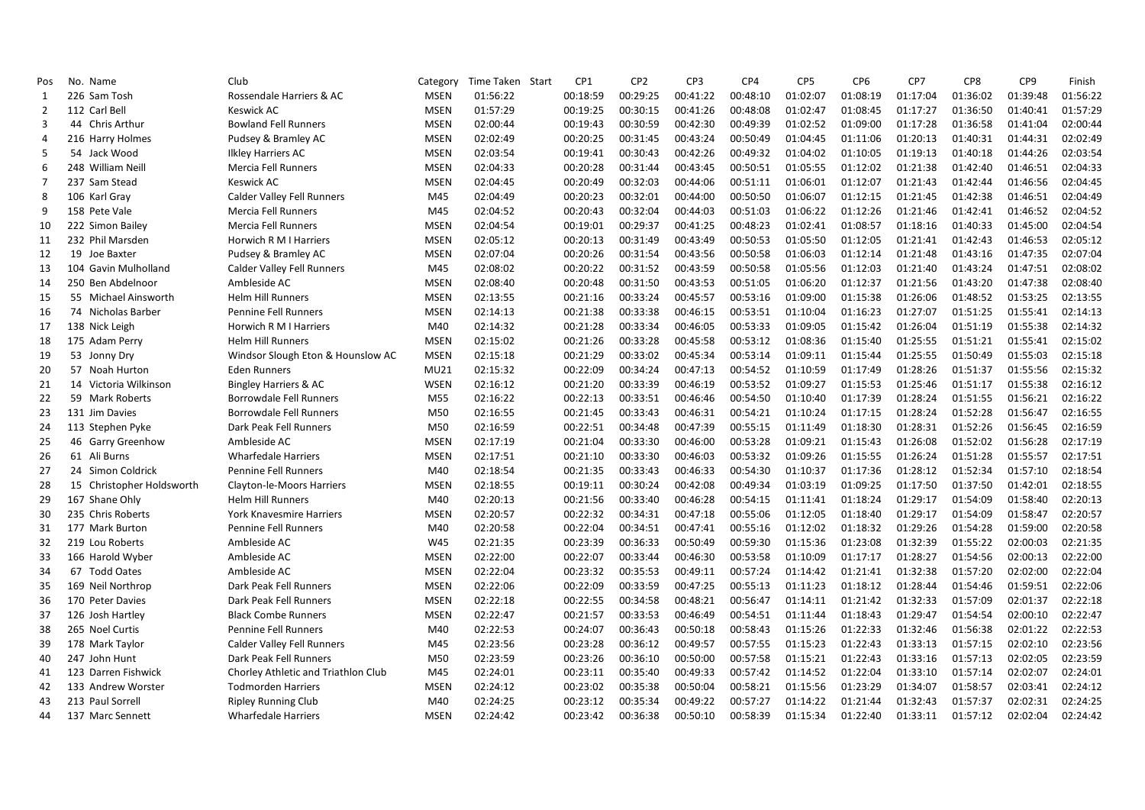| Pos            | No. Name                  | Club                                | Category    | Time Taken<br>Start | CP <sub>1</sub> | CP <sub>2</sub> | CP3      | CP4      | CP <sub>5</sub> | CP <sub>6</sub> | CP7      | CP8      | CP <sub>9</sub> | Finish   |
|----------------|---------------------------|-------------------------------------|-------------|---------------------|-----------------|-----------------|----------|----------|-----------------|-----------------|----------|----------|-----------------|----------|
| 1              | 226 Sam Tosh              | Rossendale Harriers & AC            | <b>MSEN</b> | 01:56:22            | 00:18:59        | 00:29:25        | 00:41:22 | 00:48:10 | 01:02:07        | 01:08:19        | 01:17:04 | 01:36:02 | 01:39:48        | 01:56:22 |
| $\overline{2}$ | 112 Carl Bell             | <b>Keswick AC</b>                   | <b>MSEN</b> | 01:57:29            | 00:19:25        | 00:30:15        | 00:41:26 | 00:48:08 | 01:02:47        | 01:08:45        | 01:17:27 | 01:36:50 | 01:40:41        | 01:57:29 |
| 3              | 44 Chris Arthur           | <b>Bowland Fell Runners</b>         | <b>MSEN</b> | 02:00:44            | 00:19:43        | 00:30:59        | 00:42:30 | 00:49:39 | 01:02:52        | 01:09:00        | 01:17:28 | 01:36:58 | 01:41:04        | 02:00:44 |
| $\overline{a}$ | 216 Harry Holmes          | Pudsey & Bramley AC                 | <b>MSEN</b> | 02:02:49            | 00:20:25        | 00:31:45        | 00:43:24 | 00:50:49 | 01:04:45        | 01:11:06        | 01:20:13 | 01:40:31 | 01:44:31        | 02:02:49 |
| 5              | 54 Jack Wood              | <b>Ilkley Harriers AC</b>           | <b>MSEN</b> | 02:03:54            | 00:19:41        | 00:30:43        | 00:42:26 | 00:49:32 | 01:04:02        | 01:10:05        | 01:19:13 | 01:40:18 | 01:44:26        | 02:03:54 |
| 6              | 248 William Neill         | Mercia Fell Runners                 | <b>MSEN</b> | 02:04:33            | 00:20:28        | 00:31:44        | 00:43:45 | 00:50:51 | 01:05:55        | 01:12:02        | 01:21:38 | 01:42:40 | 01:46:51        | 02:04:33 |
| $\overline{7}$ | 237 Sam Stead             | <b>Keswick AC</b>                   | <b>MSEN</b> | 02:04:45            | 00:20:49        | 00:32:03        | 00:44:06 | 00:51:11 | 01:06:01        | 01:12:07        | 01:21:43 | 01:42:44 | 01:46:56        | 02:04:45 |
| 8              | 106 Karl Gray             | <b>Calder Valley Fell Runners</b>   | M45         | 02:04:49            | 00:20:23        | 00:32:01        | 00:44:00 | 00:50:50 | 01:06:07        | 01:12:15        | 01:21:45 | 01:42:38 | 01:46:51        | 02:04:49 |
| 9              | 158 Pete Vale             | <b>Mercia Fell Runners</b>          | M45         | 02:04:52            | 00:20:43        | 00:32:04        | 00:44:03 | 00:51:03 | 01:06:22        | 01:12:26        | 01:21:46 | 01:42:41 | 01:46:52        | 02:04:52 |
| 10             | 222 Simon Bailey          | Mercia Fell Runners                 | <b>MSEN</b> | 02:04:54            | 00:19:01        | 00:29:37        | 00:41:25 | 00:48:23 | 01:02:41        | 01:08:57        | 01:18:16 | 01:40:33 | 01:45:00        | 02:04:54 |
| 11             | 232 Phil Marsden          | Horwich R M I Harriers              | <b>MSEN</b> | 02:05:12            | 00:20:13        | 00:31:49        | 00:43:49 | 00:50:53 | 01:05:50        | 01:12:05        | 01:21:41 | 01:42:43 | 01:46:53        | 02:05:12 |
| 12             | 19 Joe Baxter             | Pudsey & Bramley AC                 | <b>MSEN</b> | 02:07:04            | 00:20:26        | 00:31:54        | 00:43:56 | 00:50:58 | 01:06:03        | 01:12:14        | 01:21:48 | 01:43:16 | 01:47:35        | 02:07:04 |
| 13             | 104 Gavin Mulholland      | <b>Calder Valley Fell Runners</b>   | M45         | 02:08:02            | 00:20:22        | 00:31:52        | 00:43:59 | 00:50:58 | 01:05:56        | 01:12:03        | 01:21:40 | 01:43:24 | 01:47:51        | 02:08:02 |
| 14             | 250 Ben Abdelnoor         | Ambleside AC                        | <b>MSEN</b> | 02:08:40            | 00:20:48        | 00:31:50        | 00:43:53 | 00:51:05 | 01:06:20        | 01:12:37        | 01:21:56 | 01:43:20 | 01:47:38        | 02:08:40 |
| 15             | 55 Michael Ainsworth      | <b>Helm Hill Runners</b>            | <b>MSEN</b> | 02:13:55            | 00:21:16        | 00:33:24        | 00:45:57 | 00:53:16 | 01:09:00        | 01:15:38        | 01:26:06 | 01:48:52 | 01:53:25        | 02:13:55 |
| 16             | 74 Nicholas Barber        | <b>Pennine Fell Runners</b>         | <b>MSEN</b> | 02:14:13            | 00:21:38        | 00:33:38        | 00:46:15 | 00:53:51 | 01:10:04        | 01:16:23        | 01:27:07 | 01:51:25 | 01:55:41        | 02:14:13 |
| 17             | 138 Nick Leigh            | Horwich R M I Harriers              | M40         | 02:14:32            | 00:21:28        | 00:33:34        | 00:46:05 | 00:53:33 | 01:09:05        | 01:15:42        | 01:26:04 | 01:51:19 | 01:55:38        | 02:14:32 |
| 18             | 175 Adam Perry            | <b>Helm Hill Runners</b>            | <b>MSEN</b> | 02:15:02            | 00:21:26        | 00:33:28        | 00:45:58 | 00:53:12 | 01:08:36        | 01:15:40        | 01:25:55 | 01:51:21 | 01:55:41        | 02:15:02 |
| 19             | 53 Jonny Dry              | Windsor Slough Eton & Hounslow AC   | <b>MSEN</b> | 02:15:18            | 00:21:29        | 00:33:02        | 00:45:34 | 00:53:14 | 01:09:11        | 01:15:44        | 01:25:55 | 01:50:49 | 01:55:03        | 02:15:18 |
| 20             | 57 Noah Hurton            | <b>Eden Runners</b>                 | MU21        | 02:15:32            | 00:22:09        | 00:34:24        | 00:47:13 | 00:54:52 | 01:10:59        | 01:17:49        | 01:28:26 | 01:51:37 | 01:55:56        | 02:15:32 |
| 21             | 14 Victoria Wilkinson     | <b>Bingley Harriers &amp; AC</b>    | <b>WSEN</b> | 02:16:12            | 00:21:20        | 00:33:39        | 00:46:19 | 00:53:52 | 01:09:27        | 01:15:53        | 01:25:46 | 01:51:17 | 01:55:38        | 02:16:12 |
| 22             | 59 Mark Roberts           | Borrowdale Fell Runners             | M55         | 02:16:22            | 00:22:13        | 00:33:51        | 00:46:46 | 00:54:50 | 01:10:40        | 01:17:39        | 01:28:24 | 01:51:55 | 01:56:21        | 02:16:22 |
| 23             | 131 Jim Davies            | <b>Borrowdale Fell Runners</b>      | M50         | 02:16:55            | 00:21:45        | 00:33:43        | 00:46:31 | 00:54:21 | 01:10:24        | 01:17:15        | 01:28:24 | 01:52:28 | 01:56:47        | 02:16:55 |
| 24             | 113 Stephen Pyke          | Dark Peak Fell Runners              | M50         | 02:16:59            | 00:22:51        | 00:34:48        | 00:47:39 | 00:55:15 | 01:11:49        | 01:18:30        | 01:28:31 | 01:52:26 | 01:56:45        | 02:16:59 |
| 25             | 46 Garry Greenhow         | Ambleside AC                        | <b>MSEN</b> | 02:17:19            | 00:21:04        | 00:33:30        | 00:46:00 | 00:53:28 | 01:09:21        | 01:15:43        | 01:26:08 | 01:52:02 | 01:56:28        | 02:17:19 |
| 26             | 61 Ali Burns              | <b>Wharfedale Harriers</b>          | <b>MSEN</b> | 02:17:51            | 00:21:10        | 00:33:30        | 00:46:03 | 00:53:32 | 01:09:26        | 01:15:55        | 01:26:24 | 01:51:28 | 01:55:57        | 02:17:51 |
| 27             | 24 Simon Coldrick         | <b>Pennine Fell Runners</b>         | M40         | 02:18:54            | 00:21:35        | 00:33:43        | 00:46:33 | 00:54:30 | 01:10:37        | 01:17:36        | 01:28:12 | 01:52:34 | 01:57:10        | 02:18:54 |
| 28             | 15 Christopher Holdsworth | Clayton-le-Moors Harriers           | <b>MSEN</b> | 02:18:55            | 00:19:11        | 00:30:24        | 00:42:08 | 00:49:34 | 01:03:19        | 01:09:25        | 01:17:50 | 01:37:50 | 01:42:01        | 02:18:55 |
| 29             | 167 Shane Ohly            | <b>Helm Hill Runners</b>            | M40         | 02:20:13            | 00:21:56        | 00:33:40        | 00:46:28 | 00:54:15 | 01:11:41        | 01:18:24        | 01:29:17 | 01:54:09 | 01:58:40        | 02:20:13 |
| 30             | 235 Chris Roberts         | <b>York Knavesmire Harriers</b>     | <b>MSEN</b> | 02:20:57            | 00:22:32        | 00:34:31        | 00:47:18 | 00:55:06 | 01:12:05        | 01:18:40        | 01:29:17 | 01:54:09 | 01:58:47        | 02:20:57 |
| 31             | 177 Mark Burton           | <b>Pennine Fell Runners</b>         | M40         | 02:20:58            | 00:22:04        | 00:34:51        | 00:47:41 | 00:55:16 | 01:12:02        | 01:18:32        | 01:29:26 | 01:54:28 | 01:59:00        | 02:20:58 |
| 32             | 219 Lou Roberts           | Ambleside AC                        | W45         | 02:21:35            | 00:23:39        | 00:36:33        | 00:50:49 | 00:59:30 | 01:15:36        | 01:23:08        | 01:32:39 | 01:55:22 | 02:00:03        | 02:21:35 |
| 33             | 166 Harold Wyber          | Ambleside AC                        | <b>MSEN</b> | 02:22:00            | 00:22:07        | 00:33:44        | 00:46:30 | 00:53:58 | 01:10:09        | 01:17:17        | 01:28:27 | 01:54:56 | 02:00:13        | 02:22:00 |
| 34             | 67 Todd Oates             | Ambleside AC                        | <b>MSEN</b> | 02:22:04            | 00:23:32        | 00:35:53        | 00:49:11 | 00:57:24 | 01:14:42        | 01:21:41        | 01:32:38 | 01:57:20 | 02:02:00        | 02:22:04 |
| 35             | 169 Neil Northrop         | Dark Peak Fell Runners              | <b>MSEN</b> | 02:22:06            | 00:22:09        | 00:33:59        | 00:47:25 | 00:55:13 | 01:11:23        | 01:18:12        | 01:28:44 | 01:54:46 | 01:59:51        | 02:22:06 |
| 36             | 170 Peter Davies          | Dark Peak Fell Runners              | <b>MSEN</b> | 02:22:18            | 00:22:55        | 00:34:58        | 00:48:21 | 00:56:47 | 01:14:11        | 01:21:42        | 01:32:33 | 01:57:09 | 02:01:37        | 02:22:18 |
| 37             | 126 Josh Hartley          | <b>Black Combe Runners</b>          | <b>MSEN</b> | 02:22:47            | 00:21:57        | 00:33:53        | 00:46:49 | 00:54:51 | 01:11:44        | 01:18:43        | 01:29:47 | 01:54:54 | 02:00:10        | 02:22:47 |
| 38             | 265 Noel Curtis           | <b>Pennine Fell Runners</b>         | M40         | 02:22:53            | 00:24:07        | 00:36:43        | 00:50:18 | 00:58:43 | 01:15:26        | 01:22:33        | 01:32:46 | 01:56:38 | 02:01:22        | 02:22:53 |
| 39             | 178 Mark Taylor           | <b>Calder Valley Fell Runners</b>   | M45         | 02:23:56            | 00:23:28        | 00:36:12        | 00:49:57 | 00:57:55 | 01:15:23        | 01:22:43        | 01:33:13 | 01:57:15 | 02:02:10        | 02:23:56 |
| 40             | 247 John Hunt             | Dark Peak Fell Runners              | M50         | 02:23:59            | 00:23:26        | 00:36:10        | 00:50:00 | 00:57:58 | 01:15:21        | 01:22:43        | 01:33:16 | 01:57:13 | 02:02:05        | 02:23:59 |
| 41             | 123 Darren Fishwick       | Chorley Athletic and Triathlon Club | M45         | 02:24:01            | 00:23:11        | 00:35:40        | 00:49:33 | 00:57:42 | 01:14:52        | 01:22:04        | 01:33:10 | 01:57:14 | 02:02:07        | 02:24:01 |
| 42             | 133 Andrew Worster        | <b>Todmorden Harriers</b>           | <b>MSEN</b> | 02:24:12            | 00:23:02        | 00:35:38        | 00:50:04 | 00:58:21 | 01:15:56        | 01:23:29        | 01:34:07 | 01:58:57 | 02:03:41        | 02:24:12 |
| 43             | 213 Paul Sorrell          | <b>Ripley Running Club</b>          | M40         | 02:24:25            | 00:23:12        | 00:35:34        | 00:49:22 | 00:57:27 | 01:14:22        | 01:21:44        | 01:32:43 | 01:57:37 | 02:02:31        | 02:24:25 |
| 44             | 137 Marc Sennett          | <b>Wharfedale Harriers</b>          | <b>MSEN</b> | 02:24:42            | 00:23:42        | 00:36:38        | 00:50:10 | 00:58:39 | 01:15:34        | 01:22:40        | 01:33:11 | 01:57:12 | 02:02:04        | 02:24:42 |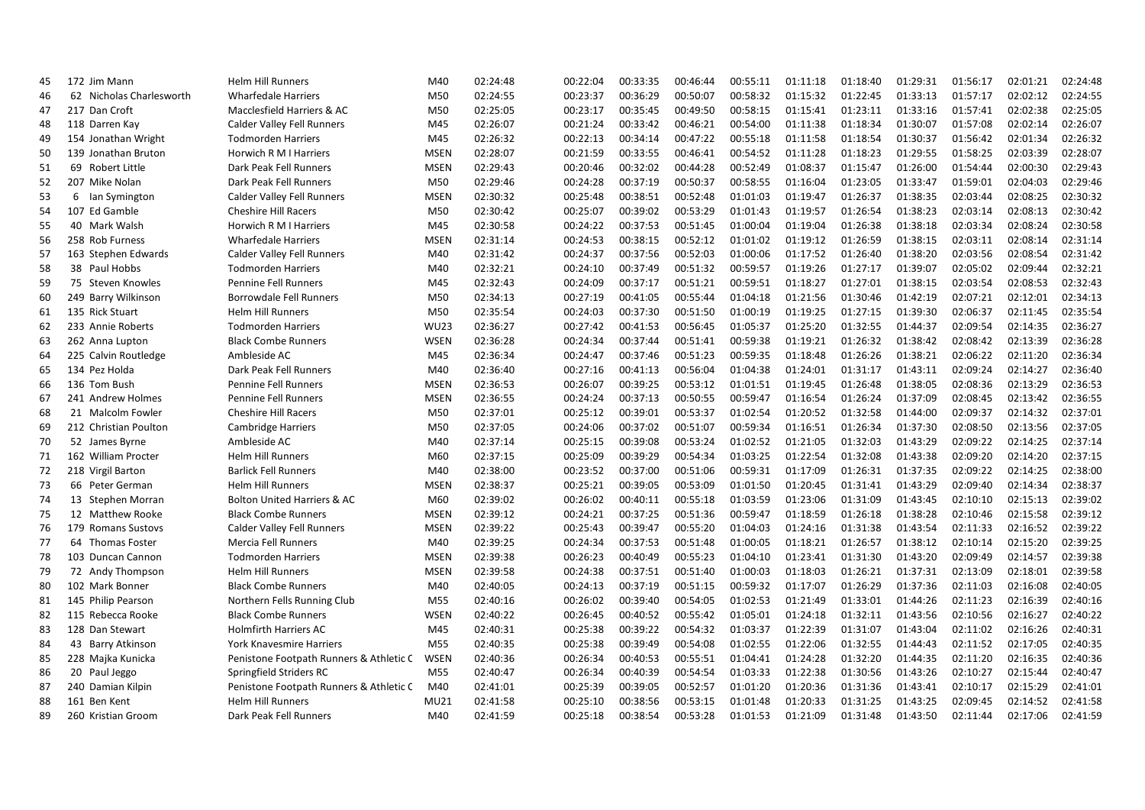| 45 | 172 Jim Mann             | <b>Helm Hill Runners</b>                     | M40         | 02:24:48 | 00:22:04 | 00:33:35 | 00:46:44 | 00:55:11 | 01:11:18 | 01:18:40 | 01:29:31 | 01:56:17 | 02:01:21 | 02:24:48 |
|----|--------------------------|----------------------------------------------|-------------|----------|----------|----------|----------|----------|----------|----------|----------|----------|----------|----------|
| 46 | 62 Nicholas Charlesworth | <b>Wharfedale Harriers</b>                   | M50         | 02:24:55 | 00:23:37 | 00:36:29 | 00:50:07 | 00:58:32 | 01:15:32 | 01:22:45 | 01:33:13 | 01:57:17 | 02:02:12 | 02:24:55 |
| 47 | 217 Dan Croft            | Macclesfield Harriers & AC                   | M50         | 02:25:05 | 00:23:17 | 00:35:45 | 00:49:50 | 00:58:15 | 01:15:41 | 01:23:11 | 01:33:16 | 01:57:41 | 02:02:38 | 02:25:05 |
| 48 | 118 Darren Kay           | <b>Calder Valley Fell Runners</b>            | M45         | 02:26:07 | 00:21:24 | 00:33:42 | 00:46:21 | 00:54:00 | 01:11:38 | 01:18:34 | 01:30:07 | 01:57:08 | 02:02:14 | 02:26:07 |
| 49 | 154 Jonathan Wright      | <b>Todmorden Harriers</b>                    | M45         | 02:26:32 | 00:22:13 | 00:34:14 | 00:47:22 | 00:55:18 | 01:11:58 | 01:18:54 | 01:30:37 | 01:56:42 | 02:01:34 | 02:26:32 |
| 50 | 139 Jonathan Bruton      | <b>Horwich R M I Harriers</b>                | <b>MSEN</b> | 02:28:07 | 00:21:59 | 00:33:55 | 00:46:41 | 00:54:52 | 01:11:28 | 01:18:23 | 01:29:55 | 01:58:25 | 02:03:39 | 02:28:07 |
| 51 | 69 Robert Little         | Dark Peak Fell Runners                       | <b>MSEN</b> | 02:29:43 | 00:20:46 | 00:32:02 | 00:44:28 | 00:52:49 | 01:08:37 | 01:15:47 | 01:26:00 | 01:54:44 | 02:00:30 | 02:29:43 |
| 52 | 207 Mike Nolan           | Dark Peak Fell Runners                       | M50         | 02:29:46 | 00:24:28 | 00:37:19 | 00:50:37 | 00:58:55 | 01:16:04 | 01:23:05 | 01:33:47 | 01:59:01 | 02:04:03 | 02:29:46 |
| 53 | 6<br>lan Symington       | <b>Calder Valley Fell Runners</b>            | <b>MSEN</b> | 02:30:32 | 00:25:48 | 00:38:51 | 00:52:48 | 01:01:03 | 01:19:47 | 01:26:37 | 01:38:35 | 02:03:44 | 02:08:25 | 02:30:32 |
| 54 | 107 Ed Gamble            | <b>Cheshire Hill Racers</b>                  | M50         | 02:30:42 | 00:25:07 | 00:39:02 | 00:53:29 | 01:01:43 | 01:19:57 | 01:26:54 | 01:38:23 | 02:03:14 | 02:08:13 | 02:30:42 |
| 55 | 40 Mark Walsh            | Horwich R M I Harriers                       | M45         | 02:30:58 | 00:24:22 | 00:37:53 | 00:51:45 | 01:00:04 | 01:19:04 | 01:26:38 | 01:38:18 | 02:03:34 | 02:08:24 | 02:30:58 |
| 56 | 258 Rob Furness          | <b>Wharfedale Harriers</b>                   | <b>MSEN</b> | 02:31:14 | 00:24:53 | 00:38:15 | 00:52:12 | 01:01:02 | 01:19:12 | 01:26:59 | 01:38:15 | 02:03:11 | 02:08:14 | 02:31:14 |
| 57 | 163 Stephen Edwards      | <b>Calder Valley Fell Runners</b>            | M40         | 02:31:42 | 00:24:37 | 00:37:56 | 00:52:03 | 01:00:06 | 01:17:52 | 01:26:40 | 01:38:20 | 02:03:56 | 02:08:54 | 02:31:42 |
| 58 | 38 Paul Hobbs            | <b>Todmorden Harriers</b>                    | M40         | 02:32:21 | 00:24:10 | 00:37:49 | 00:51:32 | 00:59:57 | 01:19:26 | 01:27:17 | 01:39:07 | 02:05:02 | 02:09:44 | 02:32:21 |
| 59 | 75 Steven Knowles        | <b>Pennine Fell Runners</b>                  | M45         | 02:32:43 | 00:24:09 | 00:37:17 | 00:51:21 | 00:59:51 | 01:18:27 | 01:27:01 | 01:38:15 | 02:03:54 | 02:08:53 | 02:32:43 |
| 60 | 249 Barry Wilkinson      | <b>Borrowdale Fell Runners</b>               | M50         | 02:34:13 | 00:27:19 | 00:41:05 | 00:55:44 | 01:04:18 | 01:21:56 | 01:30:46 | 01:42:19 | 02:07:21 | 02:12:01 | 02:34:13 |
| 61 | 135 Rick Stuart          | <b>Helm Hill Runners</b>                     | M50         | 02:35:54 | 00:24:03 | 00:37:30 | 00:51:50 | 01:00:19 | 01:19:25 | 01:27:15 | 01:39:30 | 02:06:37 | 02:11:45 | 02:35:54 |
| 62 | 233 Annie Roberts        | <b>Todmorden Harriers</b>                    | <b>WU23</b> | 02:36:27 | 00:27:42 | 00:41:53 | 00:56:45 | 01:05:37 | 01:25:20 | 01:32:55 | 01:44:37 | 02:09:54 | 02:14:35 | 02:36:27 |
| 63 | 262 Anna Lupton          | <b>Black Combe Runners</b>                   | <b>WSEN</b> | 02:36:28 | 00:24:34 | 00:37:44 | 00:51:41 | 00:59:38 | 01:19:21 | 01:26:32 | 01:38:42 | 02:08:42 | 02:13:39 | 02:36:28 |
| 64 | 225 Calvin Routledge     | Ambleside AC                                 | M45         | 02:36:34 | 00:24:47 | 00:37:46 | 00:51:23 | 00:59:35 | 01:18:48 | 01:26:26 | 01:38:21 | 02:06:22 | 02:11:20 | 02:36:34 |
| 65 | 134 Pez Holda            | Dark Peak Fell Runners                       | M40         | 02:36:40 | 00:27:16 | 00:41:13 | 00:56:04 | 01:04:38 | 01:24:01 | 01:31:17 | 01:43:11 | 02:09:24 | 02:14:27 | 02:36:40 |
| 66 | 136 Tom Bush             | <b>Pennine Fell Runners</b>                  | <b>MSEN</b> | 02:36:53 | 00:26:07 | 00:39:25 | 00:53:12 | 01:01:51 | 01:19:45 | 01:26:48 | 01:38:05 | 02:08:36 | 02:13:29 | 02:36:53 |
| 67 | 241 Andrew Holmes        | <b>Pennine Fell Runners</b>                  | <b>MSEN</b> | 02:36:55 | 00:24:24 | 00:37:13 | 00:50:55 | 00:59:47 | 01:16:54 | 01:26:24 | 01:37:09 | 02:08:45 | 02:13:42 | 02:36:55 |
| 68 | 21 Malcolm Fowler        | <b>Cheshire Hill Racers</b>                  | M50         | 02:37:01 | 00:25:12 | 00:39:01 | 00:53:37 | 01:02:54 | 01:20:52 | 01:32:58 | 01:44:00 | 02:09:37 | 02:14:32 | 02:37:01 |
| 69 | 212 Christian Poulton    | <b>Cambridge Harriers</b>                    | M50         | 02:37:05 | 00:24:06 | 00:37:02 | 00:51:07 | 00:59:34 | 01:16:51 | 01:26:34 | 01:37:30 | 02:08:50 | 02:13:56 | 02:37:05 |
| 70 | 52 James Byrne           | Ambleside AC                                 | M40         | 02:37:14 | 00:25:15 | 00:39:08 | 00:53:24 | 01:02:52 | 01:21:05 | 01:32:03 | 01:43:29 | 02:09:22 | 02:14:25 | 02:37:14 |
| 71 | 162 William Procter      | <b>Helm Hill Runners</b>                     | M60         | 02:37:15 | 00:25:09 | 00:39:29 | 00:54:34 | 01:03:25 | 01:22:54 | 01:32:08 | 01:43:38 | 02:09:20 | 02:14:20 | 02:37:15 |
| 72 | 218 Virgil Barton        | <b>Barlick Fell Runners</b>                  | M40         | 02:38:00 | 00:23:52 | 00:37:00 | 00:51:06 | 00:59:31 | 01:17:09 | 01:26:31 | 01:37:35 | 02:09:22 | 02:14:25 | 02:38:00 |
| 73 | 66 Peter German          | <b>Helm Hill Runners</b>                     | <b>MSEN</b> | 02:38:37 | 00:25:21 | 00:39:05 | 00:53:09 | 01:01:50 | 01:20:45 | 01:31:41 | 01:43:29 | 02:09:40 | 02:14:34 | 02:38:37 |
| 74 | 13 Stephen Morran        | Bolton United Harriers & AC                  | M60         | 02:39:02 | 00:26:02 | 00:40:11 | 00:55:18 | 01:03:59 | 01:23:06 | 01:31:09 | 01:43:45 | 02:10:10 | 02:15:13 | 02:39:02 |
| 75 | 12 Matthew Rooke         | <b>Black Combe Runners</b>                   | <b>MSEN</b> | 02:39:12 | 00:24:21 | 00:37:25 | 00:51:36 | 00:59:47 | 01:18:59 | 01:26:18 | 01:38:28 | 02:10:46 | 02:15:58 | 02:39:12 |
| 76 | 179 Romans Sustovs       | Calder Valley Fell Runners                   | <b>MSEN</b> | 02:39:22 | 00:25:43 | 00:39:47 | 00:55:20 | 01:04:03 | 01:24:16 | 01:31:38 | 01:43:54 | 02:11:33 | 02:16:52 | 02:39:22 |
| 77 | 64 Thomas Foster         | Mercia Fell Runners                          | M40         | 02:39:25 | 00:24:34 | 00:37:53 | 00:51:48 | 01:00:05 | 01:18:21 | 01:26:57 | 01:38:12 | 02:10:14 | 02:15:20 | 02:39:25 |
| 78 | 103 Duncan Cannon        | <b>Todmorden Harriers</b>                    | <b>MSEN</b> | 02:39:38 | 00:26:23 | 00:40:49 | 00:55:23 | 01:04:10 | 01:23:41 | 01:31:30 | 01:43:20 | 02:09:49 | 02:14:57 | 02:39:38 |
| 79 | 72 Andy Thompson         | <b>Helm Hill Runners</b>                     | <b>MSEN</b> | 02:39:58 | 00:24:38 | 00:37:51 | 00:51:40 | 01:00:03 | 01:18:03 | 01:26:21 | 01:37:31 | 02:13:09 | 02:18:01 | 02:39:58 |
| 80 | 102 Mark Bonner          | <b>Black Combe Runners</b>                   | M40         | 02:40:05 | 00:24:13 | 00:37:19 | 00:51:15 | 00:59:32 | 01:17:07 | 01:26:29 | 01:37:36 | 02:11:03 | 02:16:08 | 02:40:05 |
| 81 | 145 Philip Pearson       | Northern Fells Running Club                  | M55         | 02:40:16 | 00:26:02 | 00:39:40 | 00:54:05 | 01:02:53 | 01:21:49 | 01:33:01 | 01:44:26 | 02:11:23 | 02:16:39 | 02:40:16 |
| 82 | 115 Rebecca Rooke        | <b>Black Combe Runners</b>                   | <b>WSEN</b> | 02:40:22 | 00:26:45 | 00:40:52 | 00:55:42 | 01:05:01 | 01:24:18 | 01:32:11 | 01:43:56 | 02:10:56 | 02:16:27 | 02:40:22 |
| 83 | 128 Dan Stewart          | <b>Holmfirth Harriers AC</b>                 | M45         | 02:40:31 | 00:25:38 | 00:39:22 | 00:54:32 | 01:03:37 | 01:22:39 | 01:31:07 | 01:43:04 | 02:11:02 | 02:16:26 | 02:40:31 |
| 84 | 43 Barry Atkinson        | York Knavesmire Harriers                     | M55         | 02:40:35 | 00:25:38 | 00:39:49 | 00:54:08 | 01:02:55 | 01:22:06 | 01:32:55 | 01:44:43 | 02:11:52 | 02:17:05 | 02:40:35 |
| 85 | 228 Majka Kunicka        | Penistone Footpath Runners & Athletic C WSEN |             | 02:40:36 | 00:26:34 | 00:40:53 | 00:55:51 | 01:04:41 | 01:24:28 | 01:32:20 | 01:44:35 | 02:11:20 | 02:16:35 | 02:40:36 |
| 86 | 20 Paul Jeggo            | Springfield Striders RC                      | M55         | 02:40:47 | 00:26:34 | 00:40:39 | 00:54:54 | 01:03:33 | 01:22:38 | 01:30:56 | 01:43:26 | 02:10:27 | 02:15:44 | 02:40:47 |
| 87 | 240 Damian Kilpin        | Penistone Footpath Runners & Athletic C      | M40         | 02:41:01 | 00:25:39 | 00:39:05 | 00:52:57 | 01:01:20 | 01:20:36 | 01:31:36 | 01:43:41 | 02:10:17 | 02:15:29 | 02:41:01 |
| 88 | 161 Ben Kent             | <b>Helm Hill Runners</b>                     | MU21        | 02:41:58 | 00:25:10 | 00:38:56 | 00:53:15 | 01:01:48 | 01:20:33 | 01:31:25 | 01:43:25 | 02:09:45 | 02:14:52 | 02:41:58 |
| 89 | 260 Kristian Groom       | Dark Peak Fell Runners                       | M40         | 02:41:59 | 00:25:18 | 00:38:54 | 00:53:28 | 01:01:53 | 01:21:09 | 01:31:48 | 01:43:50 | 02:11:44 | 02:17:06 | 02:41:59 |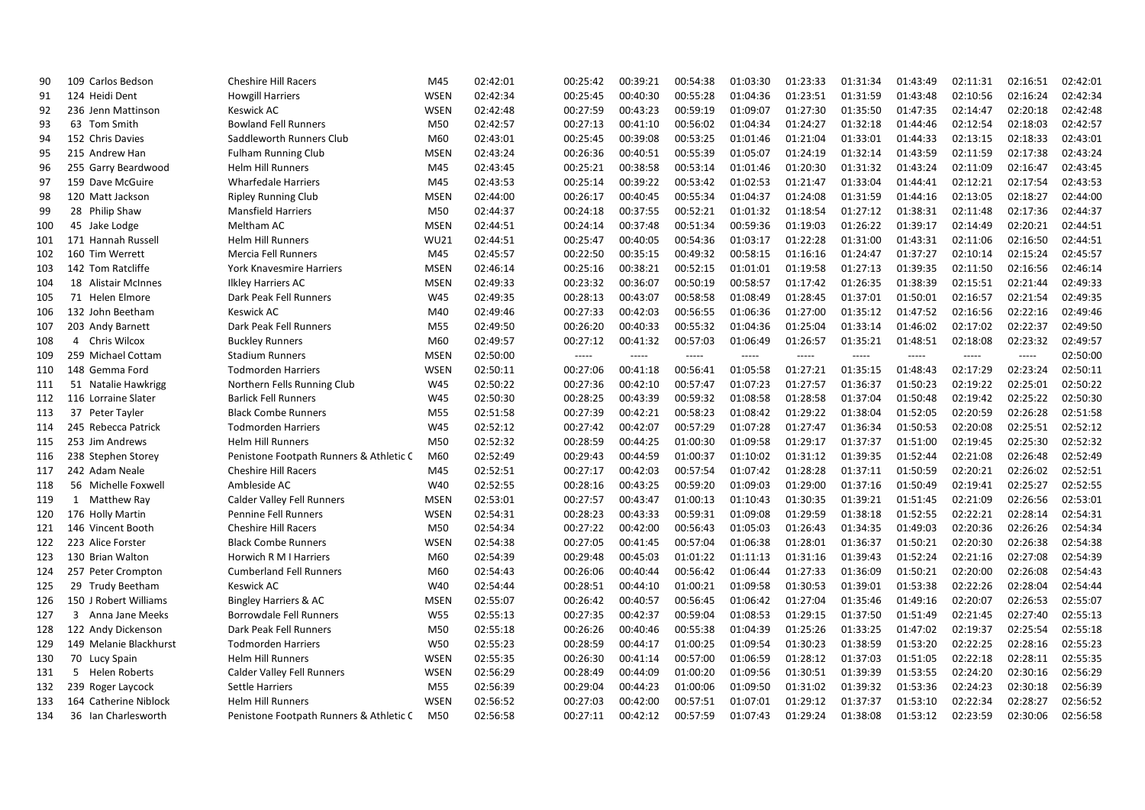| 90  | 109 Carlos Bedson      | <b>Cheshire Hill Racers</b>             | M45         | 02:42:01 | 00:25:42 | 00:39:21 | 00:54:38 | 01:03:30 | 01:23:33 | 01:31:34 | 01:43:49 | 02:11:31 | 02:16:51 | 02:42:01 |
|-----|------------------------|-----------------------------------------|-------------|----------|----------|----------|----------|----------|----------|----------|----------|----------|----------|----------|
| 91  | 124 Heidi Dent         | <b>Howgill Harriers</b>                 | <b>WSEN</b> | 02:42:34 | 00:25:45 | 00:40:30 | 00:55:28 | 01:04:36 | 01:23:51 | 01:31:59 | 01:43:48 | 02:10:56 | 02:16:24 | 02:42:34 |
| 92  | 236 Jenn Mattinson     | <b>Keswick AC</b>                       | <b>WSEN</b> | 02:42:48 | 00:27:59 | 00:43:23 | 00:59:19 | 01:09:07 | 01:27:30 | 01:35:50 | 01:47:35 | 02:14:47 | 02:20:18 | 02:42:48 |
| 93  | 63 Tom Smith           | <b>Bowland Fell Runners</b>             | M50         | 02:42:57 | 00:27:13 | 00:41:10 | 00:56:02 | 01:04:34 | 01:24:27 | 01:32:18 | 01:44:46 | 02:12:54 | 02:18:03 | 02:42:57 |
| 94  | 152 Chris Davies       | Saddleworth Runners Club                | M60         | 02:43:01 | 00:25:45 | 00:39:08 | 00:53:25 | 01:01:46 | 01:21:04 | 01:33:01 | 01:44:33 | 02:13:15 | 02:18:33 | 02:43:01 |
| 95  | 215 Andrew Han         | <b>Fulham Running Club</b>              | <b>MSEN</b> | 02:43:24 | 00:26:36 | 00:40:51 | 00:55:39 | 01:05:07 | 01:24:19 | 01:32:14 | 01:43:59 | 02:11:59 | 02:17:38 | 02:43:24 |
| 96  | 255 Garry Beardwood    | <b>Helm Hill Runners</b>                | M45         | 02:43:45 | 00:25:21 | 00:38:58 | 00:53:14 | 01:01:46 | 01:20:30 | 01:31:32 | 01:43:24 | 02:11:09 | 02:16:47 | 02:43:45 |
| 97  | 159 Dave McGuire       | <b>Wharfedale Harriers</b>              | M45         | 02:43:53 | 00:25:14 | 00:39:22 | 00:53:42 | 01:02:53 | 01:21:47 | 01:33:04 | 01:44:41 | 02:12:21 | 02:17:54 | 02:43:53 |
| 98  | 120 Matt Jackson       | <b>Ripley Running Club</b>              | <b>MSEN</b> | 02:44:00 | 00:26:17 | 00:40:45 | 00:55:34 | 01:04:37 | 01:24:08 | 01:31:59 | 01:44:16 | 02:13:05 | 02:18:27 | 02:44:00 |
| 99  | 28 Philip Shaw         | <b>Mansfield Harriers</b>               | M50         | 02:44:37 | 00:24:18 | 00:37:55 | 00:52:21 | 01:01:32 | 01:18:54 | 01:27:12 | 01:38:31 | 02:11:48 | 02:17:36 | 02:44:37 |
| 100 | 45 Jake Lodge          | Meltham AC                              | <b>MSEN</b> | 02:44:51 | 00:24:14 | 00:37:48 | 00:51:34 | 00:59:36 | 01:19:03 | 01:26:22 | 01:39:17 | 02:14:49 | 02:20:21 | 02:44:51 |
| 101 | 171 Hannah Russell     | <b>Helm Hill Runners</b>                | <b>WU21</b> | 02:44:51 | 00:25:47 | 00:40:05 | 00:54:36 | 01:03:17 | 01:22:28 | 01:31:00 | 01:43:31 | 02:11:06 | 02:16:50 | 02:44:51 |
| 102 | 160 Tim Werrett        | <b>Mercia Fell Runners</b>              | M45         | 02:45:57 | 00:22:50 | 00:35:15 | 00:49:32 | 00:58:15 | 01:16:16 | 01:24:47 | 01:37:27 | 02:10:14 | 02:15:24 | 02:45:57 |
| 103 | 142 Tom Ratcliffe      | York Knavesmire Harriers                | <b>MSEN</b> | 02:46:14 | 00:25:16 | 00:38:21 | 00:52:15 | 01:01:01 | 01:19:58 | 01:27:13 | 01:39:35 | 02:11:50 | 02:16:56 | 02:46:14 |
| 104 | 18 Alistair McInnes    | <b>Ilkley Harriers AC</b>               | <b>MSEN</b> | 02:49:33 | 00:23:32 | 00:36:07 | 00:50:19 | 00:58:57 | 01:17:42 | 01:26:35 | 01:38:39 | 02:15:51 | 02:21:44 | 02:49:33 |
| 105 | 71 Helen Elmore        | Dark Peak Fell Runners                  | W45         | 02:49:35 | 00:28:13 | 00:43:07 | 00:58:58 | 01:08:49 | 01:28:45 | 01:37:01 | 01:50:01 | 02:16:57 | 02:21:54 | 02:49:35 |
| 106 | 132 John Beetham       | <b>Keswick AC</b>                       | M40         | 02:49:46 | 00:27:33 | 00:42:03 | 00:56:55 | 01:06:36 | 01:27:00 | 01:35:12 | 01:47:52 | 02:16:56 | 02:22:16 | 02:49:46 |
| 107 | 203 Andy Barnett       | Dark Peak Fell Runners                  | M55         | 02:49:50 | 00:26:20 | 00:40:33 | 00:55:32 | 01:04:36 | 01:25:04 | 01:33:14 | 01:46:02 | 02:17:02 | 02:22:37 | 02:49:50 |
| 108 | 4 Chris Wilcox         | <b>Buckley Runners</b>                  | M60         | 02:49:57 | 00:27:12 | 00:41:32 | 00:57:03 | 01:06:49 | 01:26:57 | 01:35:21 | 01:48:51 | 02:18:08 | 02:23:32 | 02:49:57 |
| 109 | 259 Michael Cottam     | <b>Stadium Runners</b>                  | <b>MSEN</b> | 02:50:00 | $-----$  | -----    | $-----$  | $-----$  | -----    | -----    | -----    | -----    | -----    | 02:50:00 |
| 110 | 148 Gemma Ford         | <b>Todmorden Harriers</b>               | <b>WSEN</b> | 02:50:11 | 00:27:06 | 00:41:18 | 00:56:41 | 01:05:58 | 01:27:21 | 01:35:15 | 01:48:43 | 02:17:29 | 02:23:24 | 02:50:11 |
| 111 | 51 Natalie Hawkrigg    | Northern Fells Running Club             | W45         | 02:50:22 | 00:27:36 | 00:42:10 | 00:57:47 | 01:07:23 | 01:27:57 | 01:36:37 | 01:50:23 | 02:19:22 | 02:25:01 | 02:50:22 |
| 112 | 116 Lorraine Slater    | <b>Barlick Fell Runners</b>             | W45         | 02:50:30 | 00:28:25 | 00:43:39 | 00:59:32 | 01:08:58 | 01:28:58 | 01:37:04 | 01:50:48 | 02:19:42 | 02:25:22 | 02:50:30 |
| 113 | 37 Peter Tayler        | <b>Black Combe Runners</b>              | M55         | 02:51:58 | 00:27:39 | 00:42:21 | 00:58:23 | 01:08:42 | 01:29:22 | 01:38:04 | 01:52:05 | 02:20:59 | 02:26:28 | 02:51:58 |
| 114 | 245 Rebecca Patrick    | <b>Todmorden Harriers</b>               | W45         | 02:52:12 | 00:27:42 | 00:42:07 | 00:57:29 | 01:07:28 | 01:27:47 | 01:36:34 | 01:50:53 | 02:20:08 | 02:25:51 | 02:52:12 |
| 115 | 253 Jim Andrews        | <b>Helm Hill Runners</b>                | M50         | 02:52:32 | 00:28:59 | 00:44:25 | 01:00:30 | 01:09:58 | 01:29:17 | 01:37:37 | 01:51:00 | 02:19:45 | 02:25:30 | 02:52:32 |
| 116 | 238 Stephen Storey     | Penistone Footpath Runners & Athletic C | M60         | 02:52:49 | 00:29:43 | 00:44:59 | 01:00:37 | 01:10:02 | 01:31:12 | 01:39:35 | 01:52:44 | 02:21:08 | 02:26:48 | 02:52:49 |
| 117 | 242 Adam Neale         | <b>Cheshire Hill Racers</b>             | M45         | 02:52:51 | 00:27:17 | 00:42:03 | 00:57:54 | 01:07:42 | 01:28:28 | 01:37:11 | 01:50:59 | 02:20:21 | 02:26:02 | 02:52:51 |
| 118 | 56 Michelle Foxwell    | Ambleside AC                            | W40         | 02:52:55 | 00:28:16 | 00:43:25 | 00:59:20 | 01:09:03 | 01:29:00 | 01:37:16 | 01:50:49 | 02:19:41 | 02:25:27 | 02:52:55 |
| 119 | 1 Matthew Ray          | <b>Calder Valley Fell Runners</b>       | <b>MSEN</b> | 02:53:01 | 00:27:57 | 00:43:47 | 01:00:13 | 01:10:43 | 01:30:35 | 01:39:21 | 01:51:45 | 02:21:09 | 02:26:56 | 02:53:01 |
| 120 | 176 Holly Martin       | Pennine Fell Runners                    | <b>WSEN</b> | 02:54:31 | 00:28:23 | 00:43:33 | 00:59:31 | 01:09:08 | 01:29:59 | 01:38:18 | 01:52:55 | 02:22:21 | 02:28:14 | 02:54:31 |
| 121 | 146 Vincent Booth      | <b>Cheshire Hill Racers</b>             | M50         | 02:54:34 | 00:27:22 | 00:42:00 | 00:56:43 | 01:05:03 | 01:26:43 | 01:34:35 | 01:49:03 | 02:20:36 | 02:26:26 | 02:54:34 |
| 122 | 223 Alice Forster      | <b>Black Combe Runners</b>              | <b>WSEN</b> | 02:54:38 | 00:27:05 | 00:41:45 | 00:57:04 | 01:06:38 | 01:28:01 | 01:36:37 | 01:50:21 | 02:20:30 | 02:26:38 | 02:54:38 |
| 123 | 130 Brian Walton       | Horwich R M I Harriers                  | M60         | 02:54:39 | 00:29:48 | 00:45:03 | 01:01:22 | 01:11:13 | 01:31:16 | 01:39:43 | 01:52:24 | 02:21:16 | 02:27:08 | 02:54:39 |
| 124 | 257 Peter Crompton     | <b>Cumberland Fell Runners</b>          | M60         | 02:54:43 | 00:26:06 | 00:40:44 | 00:56:42 | 01:06:44 | 01:27:33 | 01:36:09 | 01:50:21 | 02:20:00 | 02:26:08 | 02:54:43 |
| 125 | 29 Trudy Beetham       | Keswick AC                              | W40         | 02:54:44 | 00:28:51 | 00:44:10 | 01:00:21 | 01:09:58 | 01:30:53 | 01:39:01 | 01:53:38 | 02:22:26 | 02:28:04 | 02:54:44 |
| 126 | 150 J Robert Williams  | Bingley Harriers & AC                   | <b>MSEN</b> | 02:55:07 | 00:26:42 | 00:40:57 | 00:56:45 | 01:06:42 | 01:27:04 | 01:35:46 | 01:49:16 | 02:20:07 | 02:26:53 | 02:55:07 |
| 127 | 3 Anna Jane Meeks      | Borrowdale Fell Runners                 | <b>W55</b>  | 02:55:13 | 00:27:35 | 00:42:37 | 00:59:04 | 01:08:53 | 01:29:15 | 01:37:50 | 01:51:49 | 02:21:45 | 02:27:40 | 02:55:13 |
| 128 | 122 Andy Dickenson     | Dark Peak Fell Runners                  | M50         | 02:55:18 | 00:26:26 | 00:40:46 | 00:55:38 | 01:04:39 | 01:25:26 | 01:33:25 | 01:47:02 | 02:19:37 | 02:25:54 | 02:55:18 |
| 129 | 149 Melanie Blackhurst | <b>Todmorden Harriers</b>               | <b>W50</b>  | 02:55:23 | 00:28:59 | 00:44:17 | 01:00:25 | 01:09:54 | 01:30:23 | 01:38:59 | 01:53:20 | 02:22:25 | 02:28:16 | 02:55:23 |
| 130 | 70 Lucy Spain          | <b>Helm Hill Runners</b>                | <b>WSEN</b> | 02:55:35 | 00:26:30 | 00:41:14 | 00:57:00 | 01:06:59 | 01:28:12 | 01:37:03 | 01:51:05 | 02:22:18 | 02:28:11 | 02:55:35 |
| 131 | 5 Helen Roberts        | <b>Calder Valley Fell Runners</b>       | <b>WSEN</b> | 02:56:29 | 00:28:49 | 00:44:09 | 01:00:20 | 01:09:56 | 01:30:51 | 01:39:39 | 01:53:55 | 02:24:20 | 02:30:16 | 02:56:29 |
| 132 | 239 Roger Laycock      | <b>Settle Harriers</b>                  | M55         | 02:56:39 | 00:29:04 | 00:44:23 | 01:00:06 | 01:09:50 | 01:31:02 | 01:39:32 | 01:53:36 | 02:24:23 | 02:30:18 | 02:56:39 |
| 133 | 164 Catherine Niblock  | <b>Helm Hill Runners</b>                | <b>WSEN</b> | 02:56:52 | 00:27:03 | 00:42:00 | 00:57:51 | 01:07:01 | 01:29:12 | 01:37:37 | 01:53:10 | 02:22:34 | 02:28:27 | 02:56:52 |
| 134 | 36 Ian Charlesworth    | Penistone Footpath Runners & Athletic C | M50         | 02:56:58 | 00:27:11 | 00:42:12 | 00:57:59 | 01:07:43 | 01:29:24 | 01:38:08 | 01:53:12 | 02:23:59 | 02:30:06 | 02:56:58 |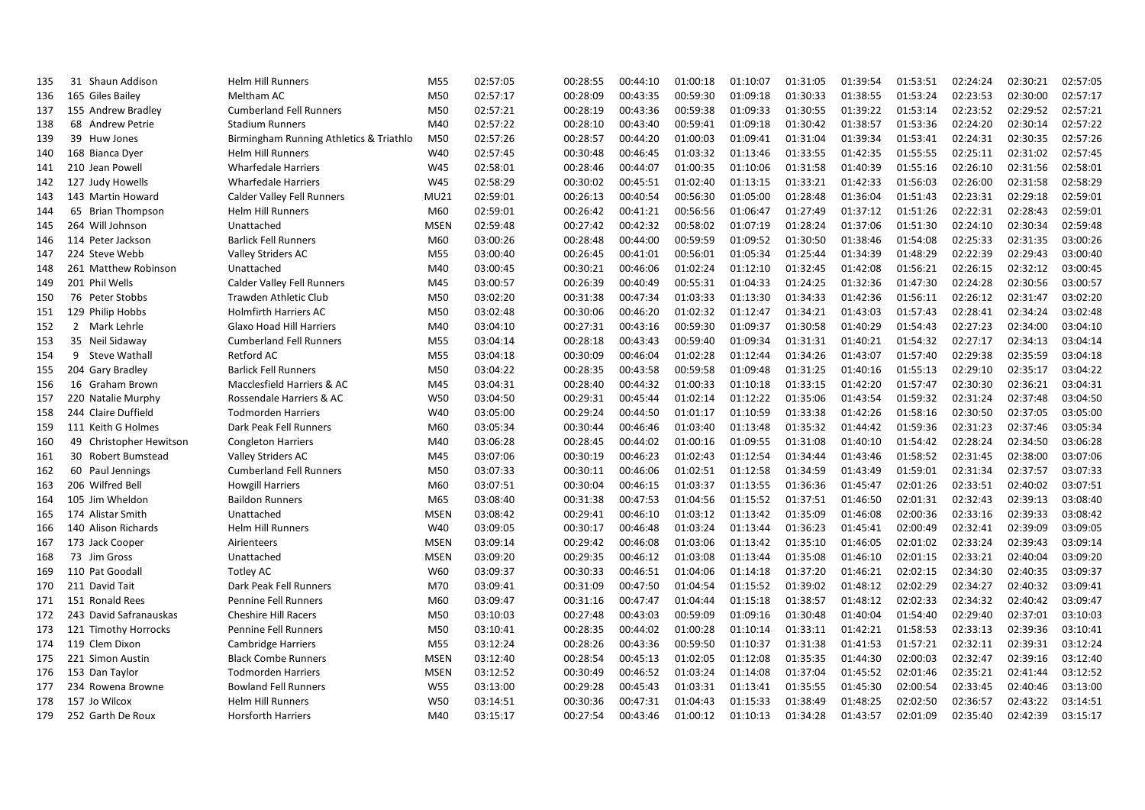| 135 | 31 Shaun Addison        | <b>Helm Hill Runners</b>                | M55         | 02:57:05 | 00:28:55 | 00:44:10 | 01:00:18 | 01:10:07 | 01:31:05 | 01:39:54 | 01:53:51 | 02:24:24 | 02:30:21 | 02:57:05 |
|-----|-------------------------|-----------------------------------------|-------------|----------|----------|----------|----------|----------|----------|----------|----------|----------|----------|----------|
| 136 | 165 Giles Bailey        | Meltham AC                              | M50         | 02:57:17 | 00:28:09 | 00:43:35 | 00:59:30 | 01:09:18 | 01:30:33 | 01:38:55 | 01:53:24 | 02:23:53 | 02:30:00 | 02:57:17 |
| 137 | 155 Andrew Bradley      | <b>Cumberland Fell Runners</b>          | M50         | 02:57:21 | 00:28:19 | 00:43:36 | 00:59:38 | 01:09:33 | 01:30:55 | 01:39:22 | 01:53:14 | 02:23:52 | 02:29:52 | 02:57:21 |
| 138 | 68 Andrew Petrie        | <b>Stadium Runners</b>                  | M40         | 02:57:22 | 00:28:10 | 00:43:40 | 00:59:41 | 01:09:18 | 01:30:42 | 01:38:57 | 01:53:36 | 02:24:20 | 02:30:14 | 02:57:22 |
| 139 | 39 Huw Jones            | Birmingham Running Athletics & Triathlo | M50         | 02:57:26 | 00:28:57 | 00:44:20 | 01:00:03 | 01:09:41 | 01:31:04 | 01:39:34 | 01:53:41 | 02:24:31 | 02:30:35 | 02:57:26 |
| 140 | 168 Bianca Dyer         | <b>Helm Hill Runners</b>                | W40         | 02:57:45 | 00:30:48 | 00:46:45 | 01:03:32 | 01:13:46 | 01:33:55 | 01:42:35 | 01:55:55 | 02:25:11 | 02:31:02 | 02:57:45 |
| 141 | 210 Jean Powell         | <b>Wharfedale Harriers</b>              | W45         | 02:58:01 | 00:28:46 | 00:44:07 | 01:00:35 | 01:10:06 | 01:31:58 | 01:40:39 | 01:55:16 | 02:26:10 | 02:31:56 | 02:58:01 |
| 142 | 127 Judy Howells        | <b>Wharfedale Harriers</b>              | W45         | 02:58:29 | 00:30:02 | 00:45:51 | 01:02:40 | 01:13:15 | 01:33:21 | 01:42:33 | 01:56:03 | 02:26:00 | 02:31:58 | 02:58:29 |
| 143 | 143 Martin Howard       | <b>Calder Valley Fell Runners</b>       | MU21        | 02:59:01 | 00:26:13 | 00:40:54 | 00:56:30 | 01:05:00 | 01:28:48 | 01:36:04 | 01:51:43 | 02:23:31 | 02:29:18 | 02:59:01 |
| 144 | 65 Brian Thompson       | <b>Helm Hill Runners</b>                | M60         | 02:59:01 | 00:26:42 | 00:41:21 | 00:56:56 | 01:06:47 | 01:27:49 | 01:37:12 | 01:51:26 | 02:22:31 | 02:28:43 | 02:59:01 |
| 145 | 264 Will Johnson        | Unattached                              | <b>MSEN</b> | 02:59:48 | 00:27:42 | 00:42:32 | 00:58:02 | 01:07:19 | 01:28:24 | 01:37:06 | 01:51:30 | 02:24:10 | 02:30:34 | 02:59:48 |
| 146 | 114 Peter Jackson       | <b>Barlick Fell Runners</b>             | M60         | 03:00:26 | 00:28:48 | 00:44:00 | 00:59:59 | 01:09:52 | 01:30:50 | 01:38:46 | 01:54:08 | 02:25:33 | 02:31:35 | 03:00:26 |
| 147 | 224 Steve Webb          | <b>Valley Striders AC</b>               | M55         | 03:00:40 | 00:26:45 | 00:41:01 | 00:56:01 | 01:05:34 | 01:25:44 | 01:34:39 | 01:48:29 | 02:22:39 | 02:29:43 | 03:00:40 |
| 148 | 261 Matthew Robinson    | Unattached                              | M40         | 03:00:45 | 00:30:21 | 00:46:06 | 01:02:24 | 01:12:10 | 01:32:45 | 01:42:08 | 01:56:21 | 02:26:15 | 02:32:12 | 03:00:45 |
| 149 | 201 Phil Wells          | <b>Calder Valley Fell Runners</b>       | M45         | 03:00:57 | 00:26:39 | 00:40:49 | 00:55:31 | 01:04:33 | 01:24:25 | 01:32:36 | 01:47:30 | 02:24:28 | 02:30:56 | 03:00:57 |
| 150 | 76 Peter Stobbs         | <b>Trawden Athletic Club</b>            | M50         | 03:02:20 | 00:31:38 | 00:47:34 | 01:03:33 | 01:13:30 | 01:34:33 | 01:42:36 | 01:56:11 | 02:26:12 | 02:31:47 | 03:02:20 |
| 151 | 129 Philip Hobbs        | <b>Holmfirth Harriers AC</b>            | M50         | 03:02:48 | 00:30:06 | 00:46:20 | 01:02:32 | 01:12:47 | 01:34:21 | 01:43:03 | 01:57:43 | 02:28:41 | 02:34:24 | 03:02:48 |
| 152 | 2 Mark Lehrle           | Glaxo Hoad Hill Harriers                | M40         | 03:04:10 | 00:27:31 | 00:43:16 | 00:59:30 | 01:09:37 | 01:30:58 | 01:40:29 | 01:54:43 | 02:27:23 | 02:34:00 | 03:04:10 |
| 153 | 35 Neil Sidaway         | <b>Cumberland Fell Runners</b>          | M55         | 03:04:14 | 00:28:18 | 00:43:43 | 00:59:40 | 01:09:34 | 01:31:31 | 01:40:21 | 01:54:32 | 02:27:17 | 02:34:13 | 03:04:14 |
| 154 | 9 Steve Wathall         | <b>Retford AC</b>                       | M55         | 03:04:18 | 00:30:09 | 00:46:04 | 01:02:28 | 01:12:44 | 01:34:26 | 01:43:07 | 01:57:40 | 02:29:38 | 02:35:59 | 03:04:18 |
| 155 | 204 Gary Bradley        | <b>Barlick Fell Runners</b>             | M50         | 03:04:22 | 00:28:35 | 00:43:58 | 00:59:58 | 01:09:48 | 01:31:25 | 01:40:16 | 01:55:13 | 02:29:10 | 02:35:17 | 03:04:22 |
| 156 | 16 Graham Brown         | Macclesfield Harriers & AC              | M45         | 03:04:31 | 00:28:40 | 00:44:32 | 01:00:33 | 01:10:18 | 01:33:15 | 01:42:20 | 01:57:47 | 02:30:30 | 02:36:21 | 03:04:31 |
| 157 | 220 Natalie Murphy      | Rossendale Harriers & AC                | <b>W50</b>  | 03:04:50 | 00:29:31 | 00:45:44 | 01:02:14 | 01:12:22 | 01:35:06 | 01:43:54 | 01:59:32 | 02:31:24 | 02:37:48 | 03:04:50 |
| 158 | 244 Claire Duffield     | <b>Todmorden Harriers</b>               | W40         | 03:05:00 | 00:29:24 | 00:44:50 | 01:01:17 | 01:10:59 | 01:33:38 | 01:42:26 | 01:58:16 | 02:30:50 | 02:37:05 | 03:05:00 |
| 159 | 111 Keith G Holmes      | Dark Peak Fell Runners                  | M60         | 03:05:34 | 00:30:44 | 00:46:46 | 01:03:40 | 01:13:48 | 01:35:32 | 01:44:42 | 01:59:36 | 02:31:23 | 02:37:46 | 03:05:34 |
| 160 | 49 Christopher Hewitson | <b>Congleton Harriers</b>               | M40         | 03:06:28 | 00:28:45 | 00:44:02 | 01:00:16 | 01:09:55 | 01:31:08 | 01:40:10 | 01:54:42 | 02:28:24 | 02:34:50 | 03:06:28 |
| 161 | 30 Robert Bumstead      | Valley Striders AC                      | M45         | 03:07:06 | 00:30:19 | 00:46:23 | 01:02:43 | 01:12:54 | 01:34:44 | 01:43:46 | 01:58:52 | 02:31:45 | 02:38:00 | 03:07:06 |
| 162 | 60 Paul Jennings        | <b>Cumberland Fell Runners</b>          | M50         | 03:07:33 | 00:30:11 | 00:46:06 | 01:02:51 | 01:12:58 | 01:34:59 | 01:43:49 | 01:59:01 | 02:31:34 | 02:37:57 | 03:07:33 |
| 163 | 206 Wilfred Bell        | <b>Howgill Harriers</b>                 | M60         | 03:07:51 | 00:30:04 | 00:46:15 | 01:03:37 | 01:13:55 | 01:36:36 | 01:45:47 | 02:01:26 | 02:33:51 | 02:40:02 | 03:07:51 |
| 164 | 105 Jim Wheldon         | <b>Baildon Runners</b>                  | M65         | 03:08:40 | 00:31:38 | 00:47:53 | 01:04:56 | 01:15:52 | 01:37:51 | 01:46:50 | 02:01:31 | 02:32:43 | 02:39:13 | 03:08:40 |
| 165 | 174 Alistar Smith       | Unattached                              | <b>MSEN</b> | 03:08:42 | 00:29:41 | 00:46:10 | 01:03:12 | 01:13:42 | 01:35:09 | 01:46:08 | 02:00:36 | 02:33:16 | 02:39:33 | 03:08:42 |
| 166 | 140 Alison Richards     | <b>Helm Hill Runners</b>                | W40         | 03:09:05 | 00:30:17 | 00:46:48 | 01:03:24 | 01:13:44 | 01:36:23 | 01:45:41 | 02:00:49 | 02:32:41 | 02:39:09 | 03:09:05 |
| 167 | 173 Jack Cooper         | Airienteers                             | <b>MSEN</b> | 03:09:14 | 00:29:42 | 00:46:08 | 01:03:06 | 01:13:42 | 01:35:10 | 01:46:05 | 02:01:02 | 02:33:24 | 02:39:43 | 03:09:14 |
| 168 | 73 Jim Gross            | Unattached                              | <b>MSEN</b> | 03:09:20 | 00:29:35 | 00:46:12 | 01:03:08 | 01:13:44 | 01:35:08 | 01:46:10 | 02:01:15 | 02:33:21 | 02:40:04 | 03:09:20 |
| 169 | 110 Pat Goodall         | <b>Totley AC</b>                        | W60         | 03:09:37 | 00:30:33 | 00:46:51 | 01:04:06 | 01:14:18 | 01:37:20 | 01:46:21 | 02:02:15 | 02:34:30 | 02:40:35 | 03:09:37 |
| 170 | 211 David Tait          | Dark Peak Fell Runners                  | M70         | 03:09:41 | 00:31:09 | 00:47:50 | 01:04:54 | 01:15:52 | 01:39:02 | 01:48:12 | 02:02:29 | 02:34:27 | 02:40:32 | 03:09:41 |
| 171 | 151 Ronald Rees         | <b>Pennine Fell Runners</b>             | M60         | 03:09:47 | 00:31:16 | 00:47:47 | 01:04:44 | 01:15:18 | 01:38:57 | 01:48:12 | 02:02:33 | 02:34:32 | 02:40:42 | 03:09:47 |
| 172 | 243 David Safranauskas  | <b>Cheshire Hill Racers</b>             | M50         | 03:10:03 | 00:27:48 | 00:43:03 | 00:59:09 | 01:09:16 | 01:30:48 | 01:40:04 | 01:54:40 | 02:29:40 | 02:37:01 | 03:10:03 |
| 173 | 121 Timothy Horrocks    | <b>Pennine Fell Runners</b>             | M50         | 03:10:41 | 00:28:35 | 00:44:02 | 01:00:28 | 01:10:14 | 01:33:11 | 01:42:21 | 01:58:53 | 02:33:13 | 02:39:36 | 03:10:41 |
| 174 | 119 Clem Dixon          | Cambridge Harriers                      | M55         | 03:12:24 | 00:28:26 | 00:43:36 | 00:59:50 | 01:10:37 | 01:31:38 | 01:41:53 | 01:57:21 | 02:32:11 | 02:39:31 | 03:12:24 |
| 175 | 221 Simon Austin        | <b>Black Combe Runners</b>              | <b>MSEN</b> | 03:12:40 | 00:28:54 | 00:45:13 | 01:02:05 | 01:12:08 | 01:35:35 | 01:44:30 | 02:00:03 | 02:32:47 | 02:39:16 | 03:12:40 |
| 176 | 153 Dan Taylor          | <b>Todmorden Harriers</b>               | <b>MSEN</b> | 03:12:52 | 00:30:49 | 00:46:52 | 01:03:24 | 01:14:08 | 01:37:04 | 01:45:52 | 02:01:46 | 02:35:21 | 02:41:44 | 03:12:52 |
| 177 | 234 Rowena Browne       | <b>Bowland Fell Runners</b>             | <b>W55</b>  | 03:13:00 | 00:29:28 | 00:45:43 | 01:03:31 | 01:13:41 | 01:35:55 | 01:45:30 | 02:00:54 | 02:33:45 | 02:40:46 | 03:13:00 |
| 178 | 157 Jo Wilcox           | <b>Helm Hill Runners</b>                | W50         | 03:14:51 | 00:30:36 | 00:47:31 | 01:04:43 | 01:15:33 | 01:38:49 | 01:48:25 | 02:02:50 | 02:36:57 | 02:43:22 | 03:14:51 |
| 179 | 252 Garth De Roux       | <b>Horsforth Harriers</b>               | M40         | 03:15:17 | 00:27:54 | 00:43:46 | 01:00:12 | 01:10:13 | 01:34:28 | 01:43:57 | 02:01:09 | 02:35:40 | 02:42:39 | 03:15:17 |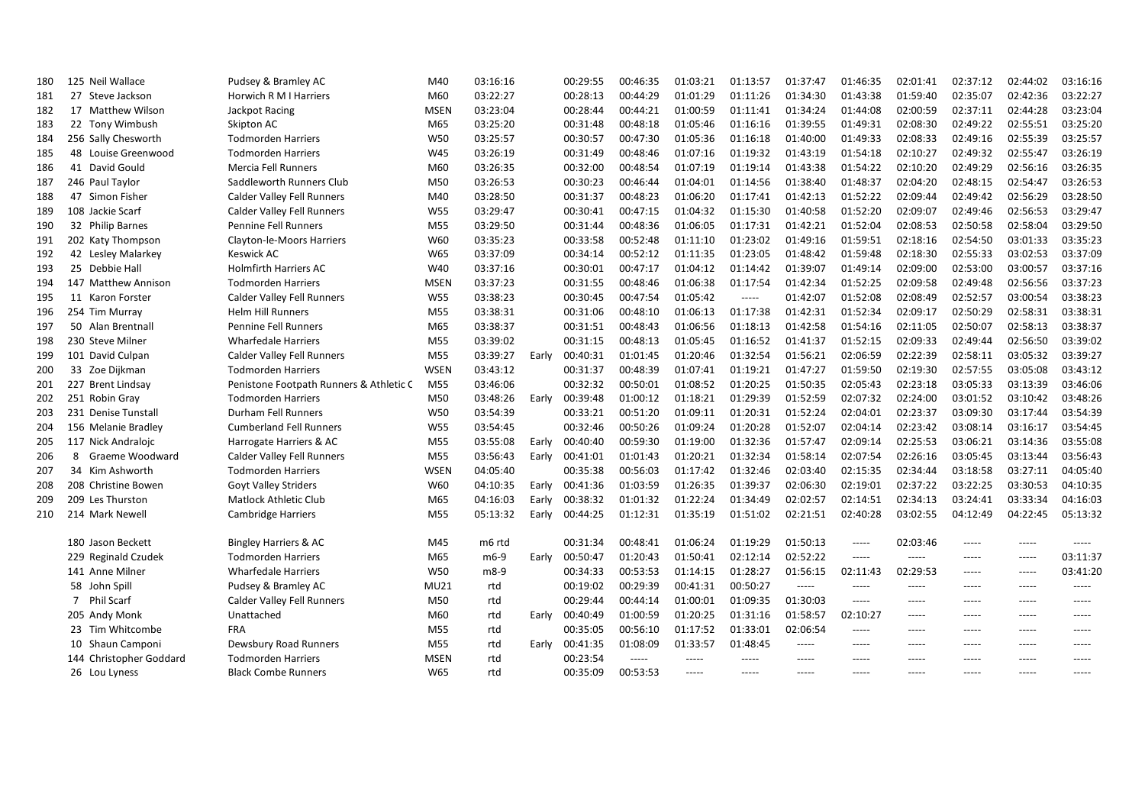| 180 | 125 Neil Wallace        | Pudsey & Bramley AC                     | M40         | 03:16:16 |       | 00:29:55 | 00:46:35 | 01:03:21 | 01:13:57    | 01:37:47 | 01:46:35 | 02:01:41    | 02:37:12 | 02:44:02 | 03:16:16 |
|-----|-------------------------|-----------------------------------------|-------------|----------|-------|----------|----------|----------|-------------|----------|----------|-------------|----------|----------|----------|
| 181 | 27 Steve Jackson        | <b>Horwich R M I Harriers</b>           | M60         | 03:22:27 |       | 00:28:13 | 00:44:29 | 01:01:29 | 01:11:26    | 01:34:30 | 01:43:38 | 01:59:40    | 02:35:07 | 02:42:36 | 03:22:27 |
| 182 | 17 Matthew Wilson       | Jackpot Racing                          | <b>MSEN</b> | 03:23:04 |       | 00:28:44 | 00:44:21 | 01:00:59 | 01:11:41    | 01:34:24 | 01:44:08 | 02:00:59    | 02:37:11 | 02:44:28 | 03:23:04 |
| 183 | 22 Tony Wimbush         | Skipton AC                              | M65         | 03:25:20 |       | 00:31:48 | 00:48:18 | 01:05:46 | 01:16:16    | 01:39:55 | 01:49:31 | 02:08:30    | 02:49:22 | 02:55:51 | 03:25:20 |
| 184 | 256 Sally Chesworth     | <b>Todmorden Harriers</b>               | <b>W50</b>  | 03:25:57 |       | 00:30:57 | 00:47:30 | 01:05:36 | 01:16:18    | 01:40:00 | 01:49:33 | 02:08:33    | 02:49:16 | 02:55:39 | 03:25:57 |
| 185 | 48 Louise Greenwood     | <b>Todmorden Harriers</b>               | W45         | 03:26:19 |       | 00:31:49 | 00:48:46 | 01:07:16 | 01:19:32    | 01:43:19 | 01:54:18 | 02:10:27    | 02:49:32 | 02:55:47 | 03:26:19 |
| 186 | 41 David Gould          | <b>Mercia Fell Runners</b>              | M60         | 03:26:35 |       | 00:32:00 | 00:48:54 | 01:07:19 | 01:19:14    | 01:43:38 | 01:54:22 | 02:10:20    | 02:49:29 | 02:56:16 | 03:26:35 |
| 187 | 246 Paul Taylor         | Saddleworth Runners Club                | M50         | 03:26:53 |       | 00:30:23 | 00:46:44 | 01:04:01 | 01:14:56    | 01:38:40 | 01:48:37 | 02:04:20    | 02:48:15 | 02:54:47 | 03:26:53 |
| 188 | 47 Simon Fisher         | <b>Calder Valley Fell Runners</b>       | M40         | 03:28:50 |       | 00:31:37 | 00:48:23 | 01:06:20 | 01:17:41    | 01:42:13 | 01:52:22 | 02:09:44    | 02:49:42 | 02:56:29 | 03:28:50 |
| 189 | 108 Jackie Scarf        | <b>Calder Valley Fell Runners</b>       | W55         | 03:29:47 |       | 00:30:41 | 00:47:15 | 01:04:32 | 01:15:30    | 01:40:58 | 01:52:20 | 02:09:07    | 02:49:46 | 02:56:53 | 03:29:47 |
| 190 | 32 Philip Barnes        | <b>Pennine Fell Runners</b>             | M55         | 03:29:50 |       | 00:31:44 | 00:48:36 | 01:06:05 | 01:17:31    | 01:42:21 | 01:52:04 | 02:08:53    | 02:50:58 | 02:58:04 | 03:29:50 |
| 191 | 202 Katy Thompson       | Clayton-le-Moors Harriers               | W60         | 03:35:23 |       | 00:33:58 | 00:52:48 | 01:11:10 | 01:23:02    | 01:49:16 | 01:59:51 | 02:18:16    | 02:54:50 | 03:01:33 | 03:35:23 |
| 192 | 42 Lesley Malarkey      | Keswick AC                              | W65         | 03:37:09 |       | 00:34:14 | 00:52:12 | 01:11:35 | 01:23:05    | 01:48:42 | 01:59:48 | 02:18:30    | 02:55:33 | 03:02:53 | 03:37:09 |
| 193 | 25 Debbie Hall          | <b>Holmfirth Harriers AC</b>            | W40         | 03:37:16 |       | 00:30:01 | 00:47:17 | 01:04:12 | 01:14:42    | 01:39:07 | 01:49:14 | 02:09:00    | 02:53:00 | 03:00:57 | 03:37:16 |
| 194 | 147 Matthew Annison     | <b>Todmorden Harriers</b>               | <b>MSEN</b> | 03:37:23 |       | 00:31:55 | 00:48:46 | 01:06:38 | 01:17:54    | 01:42:34 | 01:52:25 | 02:09:58    | 02:49:48 | 02:56:56 | 03:37:23 |
| 195 | 11 Karon Forster        | <b>Calder Valley Fell Runners</b>       | <b>W55</b>  | 03:38:23 |       | 00:30:45 | 00:47:54 | 01:05:42 | $-----$     | 01:42:07 | 01:52:08 | 02:08:49    | 02:52:57 | 03:00:54 | 03:38:23 |
| 196 | 254 Tim Murray          | <b>Helm Hill Runners</b>                | M55         | 03:38:31 |       | 00:31:06 | 00:48:10 | 01:06:13 | 01:17:38    | 01:42:31 | 01:52:34 | 02:09:17    | 02:50:29 | 02:58:31 | 03:38:31 |
| 197 | 50 Alan Brentnall       | <b>Pennine Fell Runners</b>             | M65         | 03:38:37 |       | 00:31:51 | 00:48:43 | 01:06:56 | 01:18:13    | 01:42:58 | 01:54:16 | 02:11:05    | 02:50:07 | 02:58:13 | 03:38:37 |
| 198 | 230 Steve Milner        | <b>Wharfedale Harriers</b>              | M55         | 03:39:02 |       | 00:31:15 | 00:48:13 | 01:05:45 | 01:16:52    | 01:41:37 | 01:52:15 | 02:09:33    | 02:49:44 | 02:56:50 | 03:39:02 |
| 199 | 101 David Culpan        | <b>Calder Valley Fell Runners</b>       | M55         | 03:39:27 | Early | 00:40:31 | 01:01:45 | 01:20:46 | 01:32:54    | 01:56:21 | 02:06:59 | 02:22:39    | 02:58:11 | 03:05:32 | 03:39:27 |
| 200 | 33 Zoe Dijkman          | <b>Todmorden Harriers</b>               | <b>WSEN</b> | 03:43:12 |       | 00:31:37 | 00:48:39 | 01:07:41 | 01:19:21    | 01:47:27 | 01:59:50 | 02:19:30    | 02:57:55 | 03:05:08 | 03:43:12 |
| 201 | 227 Brent Lindsay       | Penistone Footpath Runners & Athletic C | M55         | 03:46:06 |       | 00:32:32 | 00:50:01 | 01:08:52 | 01:20:25    | 01:50:35 | 02:05:43 | 02:23:18    | 03:05:33 | 03:13:39 | 03:46:06 |
| 202 | 251 Robin Gray          | <b>Todmorden Harriers</b>               | M50         | 03:48:26 | Early | 00:39:48 | 01:00:12 | 01:18:21 | 01:29:39    | 01:52:59 | 02:07:32 | 02:24:00    | 03:01:52 | 03:10:42 | 03:48:26 |
| 203 | 231 Denise Tunstall     | <b>Durham Fell Runners</b>              | W50         | 03:54:39 |       | 00:33:21 | 00:51:20 | 01:09:11 | 01:20:31    | 01:52:24 | 02:04:01 | 02:23:37    | 03:09:30 | 03:17:44 | 03:54:39 |
| 204 | 156 Melanie Bradley     | <b>Cumberland Fell Runners</b>          | <b>W55</b>  | 03:54:45 |       | 00:32:46 | 00:50:26 | 01:09:24 | 01:20:28    | 01:52:07 | 02:04:14 | 02:23:42    | 03:08:14 | 03:16:17 | 03:54:45 |
| 205 | 117 Nick Andralojc      | Harrogate Harriers & AC                 | M55         | 03:55:08 | Early | 00:40:40 | 00:59:30 | 01:19:00 | 01:32:36    | 01:57:47 | 02:09:14 | 02:25:53    | 03:06:21 | 03:14:36 | 03:55:08 |
| 206 | 8 Graeme Woodward       | <b>Calder Valley Fell Runners</b>       | M55         | 03:56:43 | Early | 00:41:01 | 01:01:43 | 01:20:21 | 01:32:34    | 01:58:14 | 02:07:54 | 02:26:16    | 03:05:45 | 03:13:44 | 03:56:43 |
| 207 | 34 Kim Ashworth         | <b>Todmorden Harriers</b>               | WSEN        | 04:05:40 |       | 00:35:38 | 00:56:03 | 01:17:42 | 01:32:46    | 02:03:40 | 02:15:35 | 02:34:44    | 03:18:58 | 03:27:11 | 04:05:40 |
| 208 | 208 Christine Bowen     | <b>Goyt Valley Striders</b>             | W60         | 04:10:35 | Early | 00:41:36 | 01:03:59 | 01:26:35 | 01:39:37    | 02:06:30 | 02:19:01 | 02:37:22    | 03:22:25 | 03:30:53 | 04:10:35 |
| 209 | 209 Les Thurston        | <b>Matlock Athletic Club</b>            | M65         | 04:16:03 | Early | 00:38:32 | 01:01:32 | 01:22:24 | 01:34:49    | 02:02:57 | 02:14:51 | 02:34:13    | 03:24:41 | 03:33:34 | 04:16:03 |
| 210 | 214 Mark Newell         | <b>Cambridge Harriers</b>               | M55         | 05:13:32 | Early | 00:44:25 | 01:12:31 | 01:35:19 | 01:51:02    | 02:21:51 | 02:40:28 | 03:02:55    | 04:12:49 | 04:22:45 | 05:13:32 |
|     | 180 Jason Beckett       | <b>Bingley Harriers &amp; AC</b>        | M45         | m6 rtd   |       | 00:31:34 | 00:48:41 | 01:06:24 | 01:19:29    | 01:50:13 | -----    | 02:03:46    | $-----$  | -----    | -----    |
|     | 229 Reginald Czudek     | <b>Todmorden Harriers</b>               | M65         | m6-9     | Early | 00:50:47 | 01:20:43 | 01:50:41 | 02:12:14    | 02:52:22 | $-----$  | -----       | $-----$  | -----    | 03:11:37 |
|     | 141 Anne Milner         | <b>Wharfedale Harriers</b>              | W50         | m8-9     |       | 00:34:33 | 00:53:53 | 01:14:15 | 01:28:27    | 01:56:15 | 02:11:43 | 02:29:53    | $-----$  | -----    | 03:41:20 |
|     | 58 John Spill           | Pudsey & Bramley AC                     | MU21        | rtd      |       | 00:19:02 | 00:29:39 | 00:41:31 | 00:50:27    | -----    | -----    | -----       | $-----$  | -----    | -----    |
|     | 7 Phil Scarf            | <b>Calder Valley Fell Runners</b>       | M50         | rtd      |       | 00:29:44 | 00:44:14 | 01:00:01 | 01:09:35    | 01:30:03 | -----    | -----       | $--- -$  | -----    | -----    |
|     | 205 Andy Monk           | Unattached                              | M60         | rtd      | Early | 00:40:49 | 01:00:59 | 01:20:25 | 01:31:16    | 01:58:57 | 02:10:27 | -----       | $-----$  | -----    | -----    |
|     | 23 Tim Whitcombe        | <b>FRA</b>                              | M55         | rtd      |       | 00:35:05 | 00:56:10 | 01:17:52 | 01:33:01    | 02:06:54 | -----    | -----       | $--- -$  | -----    | $-----1$ |
|     | 10 Shaun Camponi        | Dewsbury Road Runners                   | M55         | rtd      | Early | 00:41:35 | 01:08:09 | 01:33:57 | 01:48:45    | -----    | $--- -$  | $- - - - -$ | $--- -$  | -----    | -----    |
|     | 144 Christopher Goddard | <b>Todmorden Harriers</b>               | <b>MSEN</b> | rtd      |       | 00:23:54 | -----    | -----    | $- - - - -$ | -----    | $-----$  | -----       | $-----1$ | -----    | $-----1$ |
|     | 26 Lou Lyness           | <b>Black Combe Runners</b>              | W65         | rtd      |       | 00:35:09 | 00:53:53 | -----    | $--- -$     | $-----1$ | $--- -$  | $--- -$     | $--- -$  | -----    | $-----1$ |